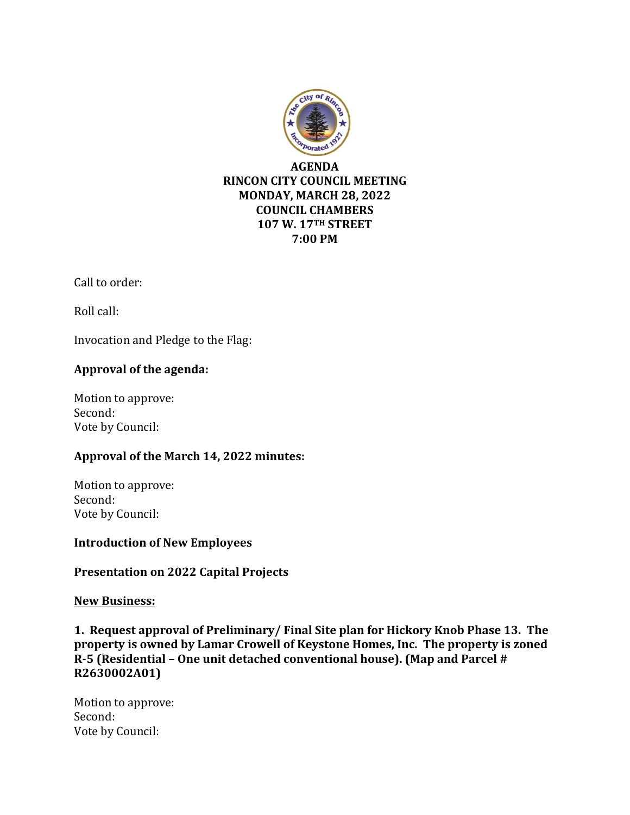

Call to order:

Roll call:

Invocation and Pledge to the Flag:

## **Approval of the agenda:**

Motion to approve: Second: Vote by Council:

## **Approval of the March 14, 2022 minutes:**

Motion to approve: Second: Vote by Council:

**Introduction of New Employees**

## **Presentation on 2022 Capital Projects**

#### **New Business:**

**1. Request approval of Preliminary/ Final Site plan for Hickory Knob Phase 13. The property is owned by Lamar Crowell of Keystone Homes, Inc. The property is zoned R-5 (Residential – One unit detached conventional house). (Map and Parcel # R2630002A01)** 

Motion to approve: Second: Vote by Council: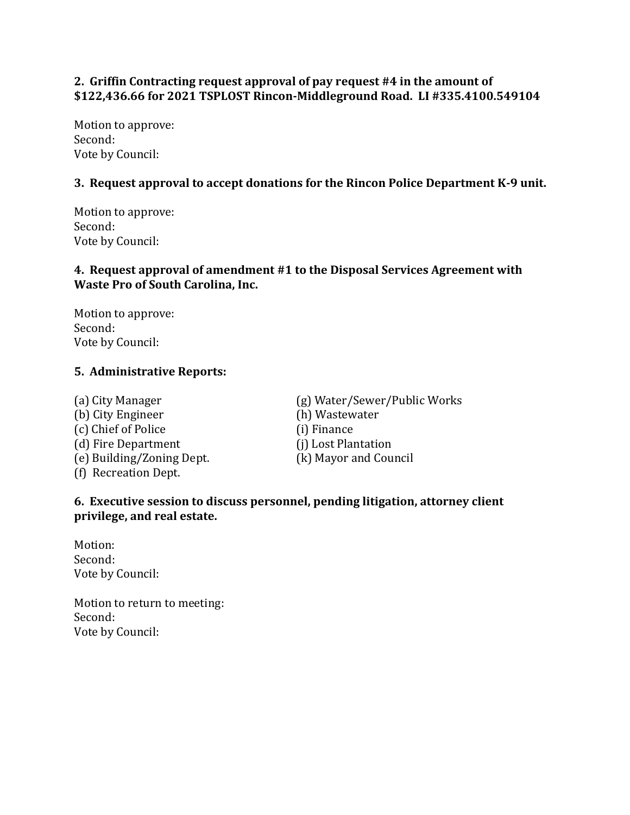## **2. Griffin Contracting request approval of pay request #4 in the amount of \$122,436.66 for 2021 TSPLOST Rincon-Middleground Road. LI #335.4100.549104**

Motion to approve: Second: Vote by Council:

## **3. Request approval to accept donations for the Rincon Police Department K-9 unit.**

Motion to approve: Second: Vote by Council:

# **4. Request approval of amendment #1 to the Disposal Services Agreement with Waste Pro of South Carolina, Inc.**

Motion to approve: Second: Vote by Council:

## **5. Administrative Reports:**

(b) City Engineer (h) Wastewater (c) Chief of Police (i) Finance (d) Fire Department (j) Lost Plantation (e) Building/Zoning Dept. (k) Mayor and Council (f) Recreation Dept.

(a) City Manager (g) Water/Sewer/Public Works

## **6. Executive session to discuss personnel, pending litigation, attorney client privilege, and real estate.**

Motion: Second: Vote by Council:

Motion to return to meeting: Second: Vote by Council: